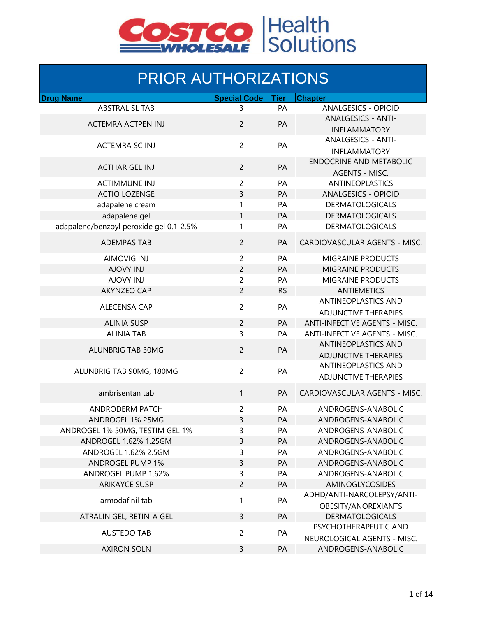

## PRIOR AUTHORIZATIONS

| <b>Drug Name</b>                        | <b>Special Code</b> | <b>Tier</b> | <b>Chapter</b>                 |
|-----------------------------------------|---------------------|-------------|--------------------------------|
| <b>ABSTRAL SL TAB</b>                   | 3                   | PA          | <b>ANALGESICS - OPIOID</b>     |
|                                         |                     |             | <b>ANALGESICS - ANTI-</b>      |
| <b>ACTEMRA ACTPEN INJ</b>               | $\overline{2}$      | PA          | <b>INFLAMMATORY</b>            |
|                                         |                     |             | <b>ANALGESICS - ANTI-</b>      |
| <b>ACTEMRA SC INJ</b>                   | $\overline{c}$      | PA          | <b>INFLAMMATORY</b>            |
|                                         |                     |             | <b>ENDOCRINE AND METABOLIC</b> |
| <b>ACTHAR GEL INJ</b>                   | $\overline{c}$      | PA          | <b>AGENTS - MISC.</b>          |
| <b>ACTIMMUNE INJ</b>                    | $\overline{c}$      | PA          | <b>ANTINEOPLASTICS</b>         |
| <b>ACTIQ LOZENGE</b>                    | 3                   | PA          | <b>ANALGESICS - OPIOID</b>     |
|                                         |                     | PA          |                                |
| adapalene cream                         | 1                   |             | <b>DERMATOLOGICALS</b>         |
| adapalene gel                           | 1                   | PA          | <b>DERMATOLOGICALS</b>         |
| adapalene/benzoyl peroxide gel 0.1-2.5% | 1                   | PA          | <b>DERMATOLOGICALS</b>         |
| <b>ADEMPAS TAB</b>                      | $\overline{c}$      | PA          | CARDIOVASCULAR AGENTS - MISC.  |
| <b>AIMOVIG INJ</b>                      | $\overline{c}$      | PA          | MIGRAINE PRODUCTS              |
| <b>AJOVY INJ</b>                        | $\overline{c}$      | PA          | <b>MIGRAINE PRODUCTS</b>       |
| <b>AJOVY INJ</b>                        | 2                   | PA          | MIGRAINE PRODUCTS              |
| <b>AKYNZEO CAP</b>                      | $\overline{c}$      | <b>RS</b>   | <b>ANTIEMETICS</b>             |
|                                         | $\overline{c}$      |             | <b>ANTINEOPLASTICS AND</b>     |
| <b>ALECENSA CAP</b>                     |                     | PA          | <b>ADJUNCTIVE THERAPIES</b>    |
| <b>ALINIA SUSP</b>                      | $\overline{c}$      | PA          | ANTI-INFECTIVE AGENTS - MISC.  |
| <b>ALINIA TAB</b>                       | 3                   | PA          | ANTI-INFECTIVE AGENTS - MISC.  |
|                                         |                     |             | <b>ANTINEOPLASTICS AND</b>     |
| ALUNBRIG TAB 30MG                       | $\overline{c}$      | PA          | <b>ADJUNCTIVE THERAPIES</b>    |
|                                         |                     |             | ANTINEOPLASTICS AND            |
| ALUNBRIG TAB 90MG, 180MG                | $\overline{c}$      | PA          | <b>ADJUNCTIVE THERAPIES</b>    |
| ambrisentan tab                         | 1                   | PA          | CARDIOVASCULAR AGENTS - MISC.  |
| ANDRODERM PATCH                         | $\overline{c}$      | PA          | ANDROGENS-ANABOLIC             |
| ANDROGEL 1% 25MG                        | 3                   | PA          | ANDROGENS-ANABOLIC             |
| ANDROGEL 1% 50MG, TESTIM GEL 1%         | 3                   | PA          | ANDROGENS-ANABOLIC             |
| ANDROGEL 1.62% 1.25GM                   | 3                   | PA          | ANDROGENS-ANABOLIC             |
| ANDROGEL 1.62% 2.5GM                    | 3                   | PA          | ANDROGENS-ANABOLIC             |
| <b>ANDROGEL PUMP 1%</b>                 | 3                   | PA          | ANDROGENS-ANABOLIC             |
| ANDROGEL PUMP 1.62%                     | 3                   | PA          | ANDROGENS-ANABOLIC             |
| <b>ARIKAYCE SUSP</b>                    | $\overline{2}$      | PA          | AMINOGLYCOSIDES                |
|                                         |                     |             | ADHD/ANTI-NARCOLEPSY/ANTI-     |
| armodafinil tab                         | 1                   | PA          | OBESITY/ANOREXIANTS            |
| ATRALIN GEL, RETIN-A GEL                | 3                   | PA          | <b>DERMATOLOGICALS</b>         |
|                                         |                     |             | PSYCHOTHERAPEUTIC AND          |
| <b>AUSTEDO TAB</b>                      | $\overline{c}$      | PA          |                                |
|                                         |                     |             | NEUROLOGICAL AGENTS - MISC.    |
| <b>AXIRON SOLN</b>                      | 3                   | PA          | ANDROGENS-ANABOLIC             |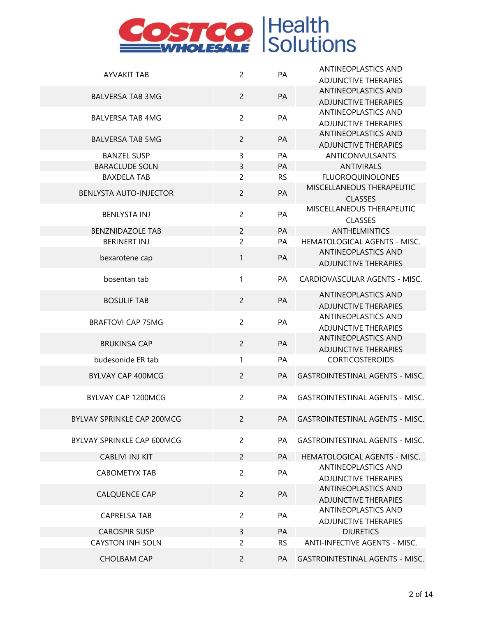| <b>AYVAKIT TAB</b>            | $\overline{c}$ | PA        | <b>ANTINEOPLASTICS AND</b>             |
|-------------------------------|----------------|-----------|----------------------------------------|
|                               |                |           | <b>ADJUNCTIVE THERAPIES</b>            |
|                               | $\overline{2}$ | PA        | <b>ANTINEOPLASTICS AND</b>             |
| <b>BALVERSA TAB 3MG</b>       |                |           | <b>ADJUNCTIVE THERAPIES</b>            |
| <b>BALVERSA TAB 4MG</b>       | $\overline{c}$ | PA        | ANTINEOPLASTICS AND                    |
|                               |                |           | <b>ADJUNCTIVE THERAPIES</b>            |
| <b>BALVERSA TAB 5MG</b>       | $\overline{2}$ | PA        | <b>ANTINEOPLASTICS AND</b>             |
|                               |                |           | <b>ADJUNCTIVE THERAPIES</b>            |
| <b>BANZEL SUSP</b>            | 3              | PA        | <b>ANTICONVULSANTS</b>                 |
| <b>BARACLUDE SOLN</b>         | 3              | PA        | <b>ANTIVIRALS</b>                      |
| <b>BAXDELA TAB</b>            | $\overline{c}$ | <b>RS</b> | <b>FLUOROQUINOLONES</b>                |
| <b>BENLYSTA AUTO-INJECTOR</b> | $\overline{c}$ | PA        | MISCELLANEOUS THERAPEUTIC              |
|                               |                |           | <b>CLASSES</b>                         |
| <b>BENLYSTA INJ</b>           | $\overline{c}$ | PA        | MISCELLANEOUS THERAPEUTIC              |
|                               |                |           | <b>CLASSES</b>                         |
| <b>BENZNIDAZOLE TAB</b>       | $\overline{c}$ | PA        | <b>ANTHELMINTICS</b>                   |
| <b>BERINERT INJ</b>           | $\overline{2}$ | PA        | <b>HEMATOLOGICAL AGENTS - MISC.</b>    |
| bexarotene cap                | $\mathbf{1}$   | PA        | <b>ANTINEOPLASTICS AND</b>             |
|                               |                |           | <b>ADJUNCTIVE THERAPIES</b>            |
| bosentan tab                  | 1              | PA        | CARDIOVASCULAR AGENTS - MISC.          |
|                               |                |           |                                        |
| <b>BOSULIF TAB</b>            | $\overline{2}$ | PA        | <b>ANTINEOPLASTICS AND</b>             |
|                               |                |           | <b>ADJUNCTIVE THERAPIES</b>            |
| <b>BRAFTOVI CAP 75MG</b>      | $\overline{2}$ | PA        | ANTINEOPLASTICS AND                    |
|                               |                |           | <b>ADJUNCTIVE THERAPIES</b>            |
| <b>BRUKINSA CAP</b>           | $\overline{2}$ | PA        | <b>ANTINEOPLASTICS AND</b>             |
|                               |                |           | <b>ADJUNCTIVE THERAPIES</b>            |
| budesonide ER tab             | $\mathbf{1}$   | PA        | <b>CORTICOSTEROIDS</b>                 |
| <b>BYLVAY CAP 400MCG</b>      | $\overline{c}$ | PA        | <b>GASTROINTESTINAL AGENTS - MISC.</b> |
| BYLVAY CAP 1200MCG            | $\overline{c}$ | PA        | <b>GASTROINTESTINAL AGENTS - MISC.</b> |
|                               |                |           |                                        |
| BYLVAY SPRINKLE CAP 200MCG    | $\overline{2}$ | PA        | <b>GASTROINTESTINAL AGENTS - MISC.</b> |
|                               |                |           |                                        |
| BYLVAY SPRINKLE CAP 600MCG    | $\overline{c}$ | PA        | <b>GASTROINTESTINAL AGENTS - MISC.</b> |
| <b>CABLIVI INJ KIT</b>        | $\overline{c}$ | PA        | HEMATOLOGICAL AGENTS - MISC.           |
| <b>CABOMETYX TAB</b>          | $\overline{c}$ | PA        | ANTINEOPLASTICS AND                    |
|                               |                |           | <b>ADJUNCTIVE THERAPIES</b>            |
| <b>CALQUENCE CAP</b>          | $\overline{2}$ | PA        | <b>ANTINEOPLASTICS AND</b>             |
|                               |                |           | <b>ADJUNCTIVE THERAPIES</b>            |
| <b>CAPRELSA TAB</b>           | $\overline{c}$ | PA        | ANTINEOPLASTICS AND                    |
|                               |                |           | <b>ADJUNCTIVE THERAPIES</b>            |
| <b>CAROSPIR SUSP</b>          | 3              | PA        | <b>DIURETICS</b>                       |
| <b>CAYSTON INH SOLN</b>       | $\overline{c}$ | <b>RS</b> | <b>ANTI-INFECTIVE AGENTS - MISC.</b>   |
| <b>CHOLBAM CAP</b>            | $\overline{c}$ | PA        | <b>GASTROINTESTINAL AGENTS - MISC.</b> |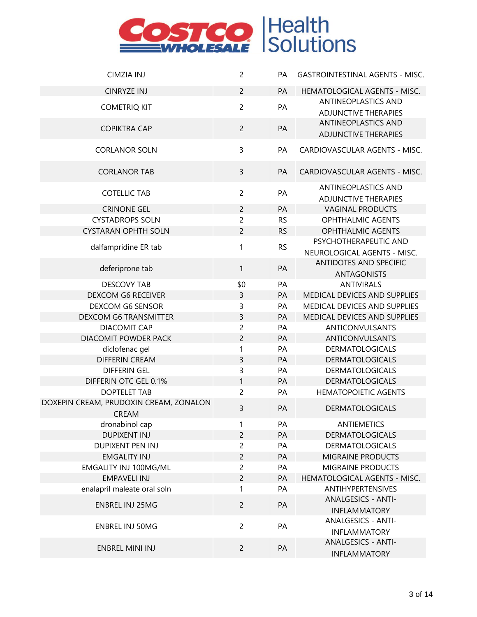| <b>CIMZIA INJ</b>                                      | $\overline{c}$ | PA        | <b>GASTROINTESTINAL AGENTS - MISC.</b>             |
|--------------------------------------------------------|----------------|-----------|----------------------------------------------------|
| <b>CINRYZE INJ</b>                                     | $\overline{2}$ | PA        | HEMATOLOGICAL AGENTS - MISC.                       |
| <b>COMETRIQ KIT</b>                                    | $\overline{c}$ | PA        | ANTINEOPLASTICS AND<br><b>ADJUNCTIVE THERAPIES</b> |
| <b>COPIKTRA CAP</b>                                    | $\overline{c}$ | PA        | ANTINEOPLASTICS AND<br><b>ADJUNCTIVE THERAPIES</b> |
| <b>CORLANOR SOLN</b>                                   | 3              | PA        | CARDIOVASCULAR AGENTS - MISC.                      |
| <b>CORLANOR TAB</b>                                    | $\overline{3}$ | <b>PA</b> | CARDIOVASCULAR AGENTS - MISC.                      |
| <b>COTELLIC TAB</b>                                    | $\overline{2}$ | PA        | ANTINEOPLASTICS AND<br><b>ADJUNCTIVE THERAPIES</b> |
| <b>CRINONE GEL</b>                                     | $\overline{c}$ | PA        | <b>VAGINAL PRODUCTS</b>                            |
| <b>CYSTADROPS SOLN</b>                                 | $\overline{c}$ | <b>RS</b> | <b>OPHTHALMIC AGENTS</b>                           |
| <b>CYSTARAN OPHTH SOLN</b>                             | $\overline{c}$ | <b>RS</b> | <b>OPHTHALMIC AGENTS</b>                           |
| dalfampridine ER tab                                   | 1              | <b>RS</b> | PSYCHOTHERAPEUTIC AND                              |
|                                                        |                |           | NEUROLOGICAL AGENTS - MISC.                        |
| deferiprone tab                                        | $\mathbf{1}$   | PA        | ANTIDOTES AND SPECIFIC                             |
|                                                        |                |           | <b>ANTAGONISTS</b>                                 |
| <b>DESCOVY TAB</b>                                     | \$0            | PA        | <b>ANTIVIRALS</b>                                  |
| <b>DEXCOM G6 RECEIVER</b>                              | 3              | PA        | MEDICAL DEVICES AND SUPPLIES                       |
| DEXCOM G6 SENSOR                                       | 3              | PA        | MEDICAL DEVICES AND SUPPLIES                       |
| <b>DEXCOM G6 TRANSMITTER</b>                           | 3              | PA        | MEDICAL DEVICES AND SUPPLIES                       |
| <b>DIACOMIT CAP</b>                                    | $\overline{c}$ | PA        | <b>ANTICONVULSANTS</b>                             |
| DIACOMIT POWDER PACK                                   | $\overline{c}$ | PA        | ANTICONVULSANTS                                    |
| diclofenac gel                                         | 1              | PA        | <b>DERMATOLOGICALS</b>                             |
| <b>DIFFERIN CREAM</b>                                  | 3              | PA        | <b>DERMATOLOGICALS</b>                             |
| <b>DIFFERIN GEL</b>                                    | 3              | PA        | <b>DERMATOLOGICALS</b>                             |
| DIFFERIN OTC GEL 0.1%                                  | 1              | PA        | <b>DERMATOLOGICALS</b>                             |
| <b>DOPTELET TAB</b>                                    | $\overline{c}$ | PA        | <b>HEMATOPOIETIC AGENTS</b>                        |
| DOXEPIN CREAM, PRUDOXIN CREAM, ZONALON<br><b>CREAM</b> | $\overline{3}$ | PA        | <b>DERMATOLOGICALS</b>                             |
| dronabinol cap                                         | 1              | PA        | <b>ANTIEMETICS</b>                                 |
| <b>DUPIXENT INJ</b>                                    | $\overline{2}$ | PA        | <b>DERMATOLOGICALS</b>                             |
| DUPIXENT PEN INJ                                       | $\overline{c}$ | PA        | <b>DERMATOLOGICALS</b>                             |
| <b>EMGALITY INJ</b>                                    | $\overline{c}$ | PA        | MIGRAINE PRODUCTS                                  |
| EMGALITY INJ 100MG/ML                                  | $\overline{c}$ | PA        | <b>MIGRAINE PRODUCTS</b>                           |
| <b>EMPAVELI INJ</b>                                    | $\overline{c}$ | PA        | HEMATOLOGICAL AGENTS - MISC.                       |
| enalapril maleate oral soln                            | 1              | PA        | ANTIHYPERTENSIVES                                  |
| <b>ENBREL INJ 25MG</b>                                 | $\overline{2}$ | PA        | <b>ANALGESICS - ANTI-</b><br><b>INFLAMMATORY</b>   |
| <b>ENBREL INJ 50MG</b>                                 | $\overline{2}$ | PA        | <b>ANALGESICS - ANTI-</b><br><b>INFLAMMATORY</b>   |
| <b>ENBREL MINI INJ</b>                                 | $\overline{2}$ | PA        | <b>ANALGESICS - ANTI-</b><br><b>INFLAMMATORY</b>   |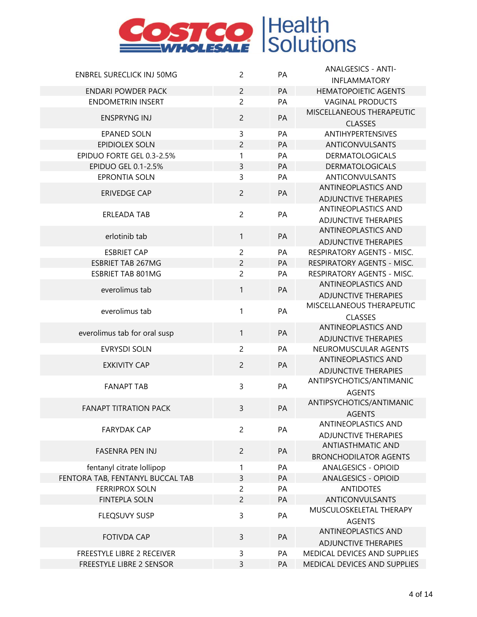

|                                                               |                |    | <b>ANALGESICS - ANTI-</b>                                   |
|---------------------------------------------------------------|----------------|----|-------------------------------------------------------------|
| <b>ENBREL SURECLICK INJ 50MG</b>                              | $\overline{c}$ | PA | <b>INFLAMMATORY</b>                                         |
| <b>ENDARI POWDER PACK</b>                                     | $\overline{c}$ | PA | <b>HEMATOPOIETIC AGENTS</b>                                 |
| <b>ENDOMETRIN INSERT</b>                                      | $\overline{c}$ | PA | <b>VAGINAL PRODUCTS</b>                                     |
|                                                               |                |    | MISCELLANEOUS THERAPEUTIC                                   |
| <b>ENSPRYNG INJ</b>                                           | $\overline{2}$ | PA | <b>CLASSES</b>                                              |
| <b>EPANED SOLN</b>                                            | 3              | PA | ANTIHYPERTENSIVES                                           |
| <b>EPIDIOLEX SOLN</b>                                         | $\overline{c}$ | PA | ANTICONVULSANTS                                             |
| EPIDUO FORTE GEL 0.3-2.5%                                     | 1              | PA | <b>DERMATOLOGICALS</b>                                      |
| EPIDUO GEL 0.1-2.5%                                           | 3              | PA | <b>DERMATOLOGICALS</b>                                      |
| <b>EPRONTIA SOLN</b>                                          | 3              | PA | ANTICONVULSANTS                                             |
|                                                               |                |    | <b>ANTINEOPLASTICS AND</b>                                  |
| <b>ERIVEDGE CAP</b>                                           | $\overline{c}$ | PA | <b>ADJUNCTIVE THERAPIES</b>                                 |
|                                                               |                |    | <b>ANTINEOPLASTICS AND</b>                                  |
| <b>ERLEADA TAB</b>                                            | $\overline{c}$ | PA | <b>ADJUNCTIVE THERAPIES</b>                                 |
|                                                               |                |    | ANTINEOPLASTICS AND                                         |
| erlotinib tab                                                 | $\mathbf{1}$   | PA | <b>ADJUNCTIVE THERAPIES</b>                                 |
| <b>ESBRIET CAP</b>                                            | $\overline{c}$ | PA | RESPIRATORY AGENTS - MISC.                                  |
| <b>ESBRIET TAB 267MG</b>                                      | $\overline{c}$ | PA | RESPIRATORY AGENTS - MISC.                                  |
| <b>ESBRIET TAB 801MG</b>                                      | $\overline{c}$ | PA | RESPIRATORY AGENTS - MISC.                                  |
| everolimus tab                                                | $\mathbf{1}$   | PA | <b>ANTINEOPLASTICS AND</b>                                  |
|                                                               |                |    | <b>ADJUNCTIVE THERAPIES</b>                                 |
| everolimus tab                                                | $\mathbf{1}$   | PA | MISCELLANEOUS THERAPEUTIC                                   |
|                                                               |                |    | <b>CLASSES</b>                                              |
| everolimus tab for oral susp                                  | $\mathbf{1}$   | PA | <b>ANTINEOPLASTICS AND</b>                                  |
|                                                               |                |    | <b>ADJUNCTIVE THERAPIES</b>                                 |
| <b>EVRYSDI SOLN</b>                                           | $\overline{c}$ | PA | NEUROMUSCULAR AGENTS                                        |
| <b>EXKIVITY CAP</b>                                           | $\overline{2}$ | PA | <b>ANTINEOPLASTICS AND</b>                                  |
|                                                               |                |    | <b>ADJUNCTIVE THERAPIES</b>                                 |
| <b>FANAPT TAB</b>                                             | $\overline{3}$ | PA | ANTIPSYCHOTICS/ANTIMANIC                                    |
|                                                               |                |    | <b>AGENTS</b>                                               |
| <b>FANAPT TITRATION PACK</b>                                  | 3              | PA | ANTIPSYCHOTICS/ANTIMANIC                                    |
|                                                               |                |    | <b>AGENTS</b>                                               |
| <b>FARYDAK CAP</b>                                            | $\overline{2}$ | PA | <b>ANTINEOPLASTICS AND</b>                                  |
|                                                               |                |    | <b>ADJUNCTIVE THERAPIES</b>                                 |
| <b>FASENRA PEN INJ</b>                                        | $\overline{2}$ | PA | <b>ANTIASTHMATIC AND</b>                                    |
|                                                               |                |    | <b>BRONCHODILATOR AGENTS</b>                                |
| fentanyl citrate lollipop                                     | 1              | PA | <b>ANALGESICS - OPIOID</b>                                  |
| FENTORA TAB, FENTANYL BUCCAL TAB                              | $\overline{3}$ | PA | <b>ANALGESICS - OPIOID</b>                                  |
| <b>FERRIPROX SOLN</b>                                         | $\overline{c}$ | PA | <b>ANTIDOTES</b>                                            |
| <b>FINTEPLA SOLN</b>                                          | $\overline{2}$ | PA | ANTICONVULSANTS<br>MUSCULOSKELETAL THERAPY                  |
| <b>FLEQSUVY SUSP</b>                                          | 3              | PA |                                                             |
|                                                               |                |    | <b>AGENTS</b><br>ANTINEOPLASTICS AND                        |
| <b>FOTIVDA CAP</b>                                            | 3              | PA |                                                             |
|                                                               | 3              | PA | <b>ADJUNCTIVE THERAPIES</b><br>MEDICAL DEVICES AND SUPPLIES |
| <b>FREESTYLE LIBRE 2 RECEIVER</b><br>FREESTYLE LIBRE 2 SENSOR | $\overline{3}$ | PA | MEDICAL DEVICES AND SUPPLIES                                |
|                                                               |                |    |                                                             |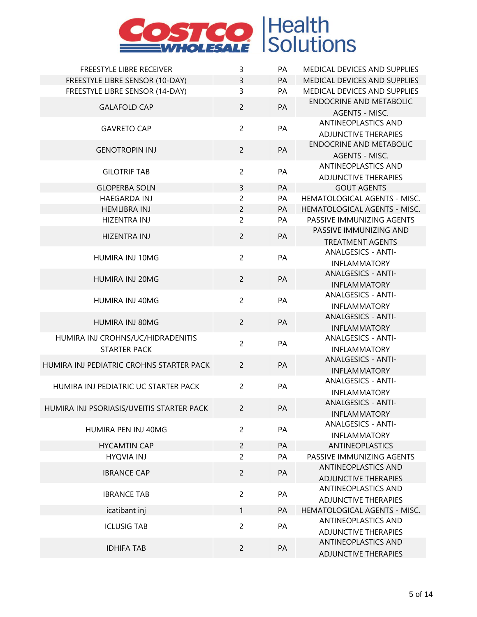| FREESTYLE LIBRE RECEIVER                  | 3              | PA        | MEDICAL DEVICES AND SUPPLIES                       |
|-------------------------------------------|----------------|-----------|----------------------------------------------------|
| FREESTYLE LIBRE SENSOR (10-DAY)           | 3              | PA        | MEDICAL DEVICES AND SUPPLIES                       |
| FREESTYLE LIBRE SENSOR (14-DAY)           | 3              | PA        | MEDICAL DEVICES AND SUPPLIES                       |
| <b>GALAFOLD CAP</b>                       | $\overline{c}$ | PA        | <b>ENDOCRINE AND METABOLIC</b>                     |
|                                           |                |           | <b>AGENTS - MISC.</b>                              |
|                                           |                |           | ANTINEOPLASTICS AND                                |
| <b>GAVRETO CAP</b>                        | $\overline{2}$ | PA        | <b>ADJUNCTIVE THERAPIES</b>                        |
|                                           |                |           | <b>ENDOCRINE AND METABOLIC</b>                     |
| <b>GENOTROPIN INJ</b>                     | $\overline{c}$ | PA        | <b>AGENTS - MISC.</b>                              |
| <b>GILOTRIF TAB</b>                       | $\overline{2}$ | PA        | ANTINEOPLASTICS AND                                |
|                                           |                |           | <b>ADJUNCTIVE THERAPIES</b>                        |
| <b>GLOPERBA SOLN</b>                      | 3              | PA        | <b>GOUT AGENTS</b>                                 |
| <b>HAEGARDA INJ</b>                       | $\overline{c}$ | PA        | HEMATOLOGICAL AGENTS - MISC.                       |
| <b>HEMLIBRA INJ</b>                       | $\overline{c}$ | PA        | HEMATOLOGICAL AGENTS - MISC.                       |
| <b>HIZENTRA INJ</b>                       | $\overline{2}$ | PA        | PASSIVE IMMUNIZING AGENTS                          |
| <b>HIZENTRA INJ</b>                       | $\overline{c}$ | PA        | PASSIVE IMMUNIZING AND                             |
|                                           |                |           | <b>TREATMENT AGENTS</b>                            |
| HUMIRA INJ 10MG                           | $\overline{2}$ | PA        | <b>ANALGESICS - ANTI-</b>                          |
|                                           |                |           | <b>INFLAMMATORY</b>                                |
| HUMIRA INJ 20MG                           | $\overline{c}$ | PA        | <b>ANALGESICS - ANTI-</b>                          |
|                                           |                |           | <b>INFLAMMATORY</b>                                |
| HUMIRA INJ 40MG                           | $\overline{2}$ | PA        | <b>ANALGESICS - ANTI-</b>                          |
|                                           |                |           | <b>INFLAMMATORY</b>                                |
| HUMIRA INJ 80MG                           | $\overline{2}$ | PA        | <b>ANALGESICS - ANTI-</b>                          |
|                                           |                |           | <b>INFLAMMATORY</b>                                |
| HUMIRA INJ CROHNS/UC/HIDRADENITIS         | $\overline{2}$ | PA        | <b>ANALGESICS - ANTI-</b>                          |
| <b>STARTER PACK</b>                       |                |           | <b>INFLAMMATORY</b>                                |
| HUMIRA INJ PEDIATRIC CROHNS STARTER PACK  | $\overline{2}$ | <b>PA</b> | <b>ANALGESICS - ANTI-</b>                          |
|                                           |                |           | <b>INFLAMMATORY</b>                                |
| HUMIRA INJ PEDIATRIC UC STARTER PACK      | $\overline{2}$ | PA        | <b>ANALGESICS - ANTI-</b>                          |
|                                           |                |           | <b>INFLAMMATORY</b>                                |
| HUMIRA INJ PSORIASIS/UVEITIS STARTER PACK | $\overline{c}$ | PA        | <b>ANALGESICS - ANTI-</b>                          |
|                                           |                |           | INFLAMMATORY                                       |
| HUMIRA PEN INJ 40MG                       | $\overline{2}$ | PA        | <b>ANALGESICS - ANTI-</b>                          |
|                                           |                |           | <b>INFLAMMATORY</b>                                |
| <b>HYCAMTIN CAP</b>                       | $\overline{c}$ | PA        | <b>ANTINEOPLASTICS</b>                             |
| <b>HYQVIA INJ</b>                         | $\overline{c}$ | PA        | PASSIVE IMMUNIZING AGENTS                          |
| <b>IBRANCE CAP</b>                        | $\overline{2}$ | PA        | <b>ANTINEOPLASTICS AND</b>                         |
|                                           |                |           | <b>ADJUNCTIVE THERAPIES</b>                        |
| <b>IBRANCE TAB</b>                        | $\overline{c}$ | PA        | ANTINEOPLASTICS AND                                |
|                                           |                |           | <b>ADJUNCTIVE THERAPIES</b>                        |
| icatibant inj                             | 1              | PA        | HEMATOLOGICAL AGENTS - MISC.                       |
| <b>ICLUSIG TAB</b>                        | $\overline{2}$ | PA        | ANTINEOPLASTICS AND                                |
|                                           |                |           | <b>ADJUNCTIVE THERAPIES</b><br>ANTINEOPLASTICS AND |
| <b>IDHIFA TAB</b>                         | $\overline{2}$ | PA        |                                                    |
|                                           |                |           | <b>ADJUNCTIVE THERAPIES</b>                        |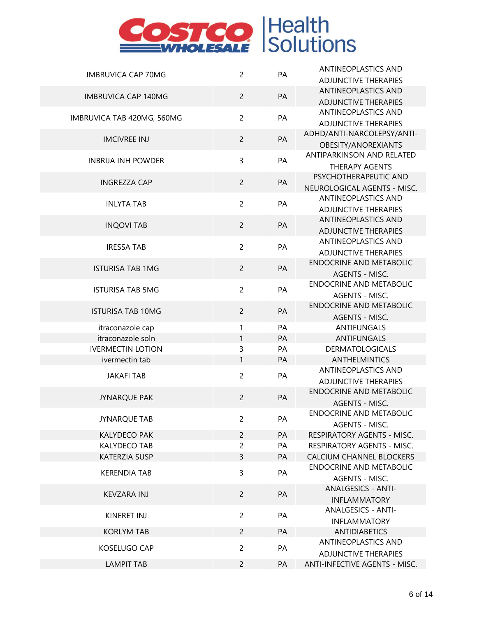| <b>IMBRUVICA CAP 70MG</b>  | $\overline{2}$ | PA | <b>ANTINEOPLASTICS AND</b>                                |
|----------------------------|----------------|----|-----------------------------------------------------------|
|                            |                |    | <b>ADJUNCTIVE THERAPIES</b>                               |
| <b>IMBRUVICA CAP 140MG</b> | $\overline{c}$ | PA | <b>ANTINEOPLASTICS AND</b>                                |
|                            |                |    | <b>ADJUNCTIVE THERAPIES</b>                               |
| IMBRUVICA TAB 420MG, 560MG | $\overline{c}$ | PA | <b>ANTINEOPLASTICS AND</b>                                |
|                            |                |    | <b>ADJUNCTIVE THERAPIES</b>                               |
| <b>IMCIVREE INJ</b>        | $\overline{2}$ | PA | ADHD/ANTI-NARCOLEPSY/ANTI-                                |
|                            |                |    | OBESITY/ANOREXIANTS                                       |
| <b>INBRIJA INH POWDER</b>  | 3              | PA | ANTIPARKINSON AND RELATED                                 |
|                            |                |    | <b>THERAPY AGENTS</b>                                     |
| <b>INGREZZA CAP</b>        | $\overline{c}$ | PA | PSYCHOTHERAPEUTIC AND                                     |
|                            |                |    | NEUROLOGICAL AGENTS - MISC.                               |
| <b>INLYTA TAB</b>          | $\overline{c}$ | PA | ANTINEOPLASTICS AND                                       |
|                            |                |    | <b>ADJUNCTIVE THERAPIES</b><br><b>ANTINEOPLASTICS AND</b> |
| <b>INQOVI TAB</b>          | $\overline{c}$ | PA | <b>ADJUNCTIVE THERAPIES</b>                               |
|                            |                |    | ANTINEOPLASTICS AND                                       |
| <b>IRESSA TAB</b>          | $\overline{c}$ | PA | <b>ADJUNCTIVE THERAPIES</b>                               |
|                            |                |    | <b>ENDOCRINE AND METABOLIC</b>                            |
| <b>ISTURISA TAB 1MG</b>    | $\overline{c}$ | PA | <b>AGENTS - MISC.</b>                                     |
|                            |                |    | <b>ENDOCRINE AND METABOLIC</b>                            |
| <b>ISTURISA TAB 5MG</b>    | $\overline{c}$ | PA | AGENTS - MISC.                                            |
|                            |                |    | <b>ENDOCRINE AND METABOLIC</b>                            |
| <b>ISTURISA TAB 10MG</b>   | $\overline{c}$ | PA | <b>AGENTS - MISC.</b>                                     |
| itraconazole cap           | 1              | PA | <b>ANTIFUNGALS</b>                                        |
| itraconazole soln          | 1              | PA | <b>ANTIFUNGALS</b>                                        |
| <b>IVERMECTIN LOTION</b>   | 3              | PA | <b>DERMATOLOGICALS</b>                                    |
| ivermectin tab             | $\mathbf{1}$   | PA | <b>ANTHELMINTICS</b>                                      |
| <b>JAKAFI TAB</b>          | $\overline{2}$ | PA | ANTINEOPLASTICS AND                                       |
|                            |                |    | <b>ADJUNCTIVE THERAPIES</b>                               |
| <b>JYNARQUE PAK</b>        | $\overline{c}$ | PA | <b>ENDOCRINE AND METABOLIC</b>                            |
|                            |                |    | AGENTS - MISC.                                            |
| <b>JYNARQUE TAB</b>        | $\overline{c}$ | PA | ENDOCRINE AND METABOLIC                                   |
|                            |                |    | AGENTS - MISC.                                            |
| <b>KALYDECO PAK</b>        | $\overline{2}$ | PA | <b>RESPIRATORY AGENTS - MISC.</b>                         |
| <b>KALYDECO TAB</b>        | $\overline{c}$ | PA | <b>RESPIRATORY AGENTS - MISC.</b>                         |
| <b>KATERZIA SUSP</b>       | 3              | PA | <b>CALCIUM CHANNEL BLOCKERS</b>                           |
| <b>KERENDIA TAB</b>        | 3              | PA | <b>ENDOCRINE AND METABOLIC</b>                            |
|                            |                |    | AGENTS - MISC.<br><b>ANALGESICS - ANTI-</b>               |
| KEVZARA INJ                | $\overline{2}$ | PA | <b>INFLAMMATORY</b>                                       |
|                            |                |    | <b>ANALGESICS - ANTI-</b>                                 |
| KINERET INJ                | $\overline{c}$ | PA | <b>INFLAMMATORY</b>                                       |
| <b>KORLYM TAB</b>          | $\overline{c}$ | PA | <b>ANTIDIABETICS</b>                                      |
|                            |                |    | <b>ANTINEOPLASTICS AND</b>                                |
| KOSELUGO CAP               | $\overline{c}$ | PA | <b>ADJUNCTIVE THERAPIES</b>                               |
| <b>LAMPIT TAB</b>          | $\overline{2}$ | PA | <b>ANTI-INFECTIVE AGENTS - MISC.</b>                      |
|                            |                |    |                                                           |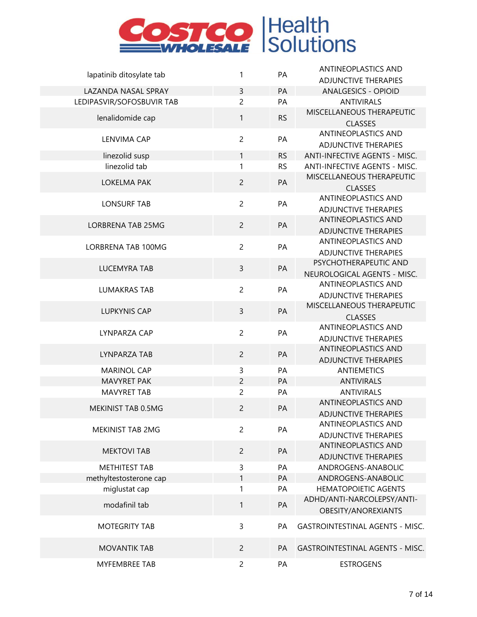

|                           |                |           | <b>ANTINEOPLASTICS AND</b>                                |
|---------------------------|----------------|-----------|-----------------------------------------------------------|
| lapatinib ditosylate tab  | 1              | PA        | <b>ADJUNCTIVE THERAPIES</b>                               |
| LAZANDA NASAL SPRAY       | $\overline{3}$ | PA        | <b>ANALGESICS - OPIOID</b>                                |
| LEDIPASVIR/SOFOSBUVIR TAB | $\overline{c}$ | PA        | <b>ANTIVIRALS</b>                                         |
| lenalidomide cap          | $\mathbf{1}$   | <b>RS</b> | MISCELLANEOUS THERAPEUTIC<br><b>CLASSES</b>               |
| <b>LENVIMA CAP</b>        | $\overline{c}$ | PA        | ANTINEOPLASTICS AND<br><b>ADJUNCTIVE THERAPIES</b>        |
| linezolid susp            | $\mathbf{1}$   | <b>RS</b> | <b>ANTI-INFECTIVE AGENTS - MISC.</b>                      |
| linezolid tab             | 1              | <b>RS</b> | <b>ANTI-INFECTIVE AGENTS - MISC.</b>                      |
| LOKELMA PAK               | $\overline{c}$ | PA        | MISCELLANEOUS THERAPEUTIC<br><b>CLASSES</b>               |
| <b>LONSURF TAB</b>        | $\overline{c}$ | PA        | <b>ANTINEOPLASTICS AND</b><br><b>ADJUNCTIVE THERAPIES</b> |
| <b>LORBRENA TAB 25MG</b>  | $\overline{2}$ | PA        | <b>ANTINEOPLASTICS AND</b><br><b>ADJUNCTIVE THERAPIES</b> |
| <b>LORBRENA TAB 100MG</b> | $\overline{c}$ | PA        | <b>ANTINEOPLASTICS AND</b><br><b>ADJUNCTIVE THERAPIES</b> |
| <b>LUCEMYRA TAB</b>       | $\mathsf{3}$   | PA        | PSYCHOTHERAPEUTIC AND<br>NEUROLOGICAL AGENTS - MISC.      |
| <b>LUMAKRAS TAB</b>       | $\overline{c}$ | PA        | <b>ANTINEOPLASTICS AND</b><br><b>ADJUNCTIVE THERAPIES</b> |
| <b>LUPKYNIS CAP</b>       | $\overline{3}$ | PA        | MISCELLANEOUS THERAPEUTIC<br><b>CLASSES</b>               |
| LYNPARZA CAP              | $\overline{c}$ | PA        | <b>ANTINEOPLASTICS AND</b><br><b>ADJUNCTIVE THERAPIES</b> |
| LYNPARZA TAB              | $\overline{c}$ | PA        | <b>ANTINEOPLASTICS AND</b><br><b>ADJUNCTIVE THERAPIES</b> |
| <b>MARINOL CAP</b>        | 3              | PA        | <b>ANTIEMETICS</b>                                        |
| MAVYRET PAK               | $\overline{c}$ | PA        | <b>ANTIVIRALS</b>                                         |
| <b>MAVYRET TAB</b>        | $\overline{c}$ | PA        | <b>ANTIVIRALS</b>                                         |
| MEKINIST TAB 0.5MG        | 2              | PA        | <b>ANTINEOPLASTICS AND</b><br><b>ADJUNCTIVE THERAPIES</b> |
| <b>MEKINIST TAB 2MG</b>   | $\overline{2}$ | PA        | <b>ANTINEOPLASTICS AND</b><br><b>ADJUNCTIVE THERAPIES</b> |
| <b>MEKTOVI TAB</b>        | $\overline{c}$ | PA        | <b>ANTINEOPLASTICS AND</b><br><b>ADJUNCTIVE THERAPIES</b> |
| METHITEST TAB             | 3              | PA        | ANDROGENS-ANABOLIC                                        |
| methyltestosterone cap    | $\mathbf{1}$   | PA        | ANDROGENS-ANABOLIC                                        |
| miglustat cap             | 1              | PA        | <b>HEMATOPOIETIC AGENTS</b>                               |
| modafinil tab             | 1              | PA        | ADHD/ANTI-NARCOLEPSY/ANTI-<br>OBESITY/ANOREXIANTS         |
| <b>MOTEGRITY TAB</b>      | 3              | PA        | <b>GASTROINTESTINAL AGENTS - MISC.</b>                    |
| <b>MOVANTIK TAB</b>       | $\overline{2}$ | PA        | <b>GASTROINTESTINAL AGENTS - MISC.</b>                    |
| <b>MYFEMBREE TAB</b>      | $\overline{c}$ | PA        | <b>ESTROGENS</b>                                          |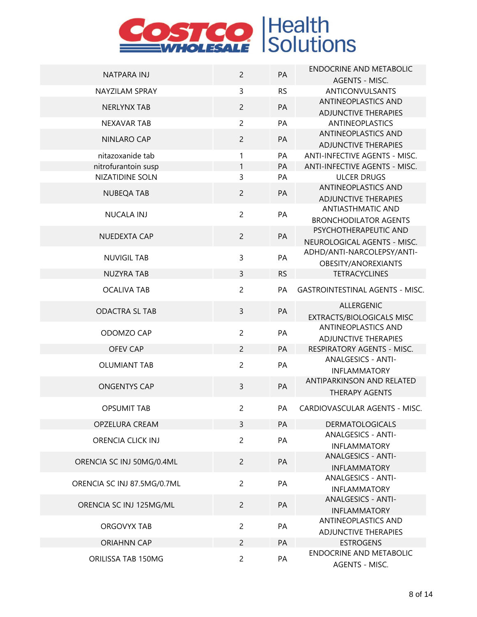| NATPARA INJ                 | $\overline{c}$ | PA        | <b>ENDOCRINE AND METABOLIC</b>                     |
|-----------------------------|----------------|-----------|----------------------------------------------------|
|                             |                |           | AGENTS - MISC.                                     |
| <b>NAYZILAM SPRAY</b>       | $\mathsf{3}$   | <b>RS</b> | ANTICONVULSANTS                                    |
| <b>NERLYNX TAB</b>          | $\overline{2}$ | PA        | ANTINEOPLASTICS AND                                |
|                             |                |           | <b>ADJUNCTIVE THERAPIES</b>                        |
| <b>NEXAVAR TAB</b>          | $\overline{2}$ | PA        | <b>ANTINEOPLASTICS</b>                             |
| <b>NINLARO CAP</b>          | $\overline{2}$ | PA        | ANTINEOPLASTICS AND<br><b>ADJUNCTIVE THERAPIES</b> |
| nitazoxanide tab            | 1              | PA        | <b>ANTI-INFECTIVE AGENTS - MISC.</b>               |
| nitrofurantoin susp         | 1              | PA        | <b>ANTI-INFECTIVE AGENTS - MISC.</b>               |
| <b>NIZATIDINE SOLN</b>      | $\overline{3}$ | PA        | <b>ULCER DRUGS</b>                                 |
|                             |                |           | ANTINEOPLASTICS AND                                |
| <b>NUBEQA TAB</b>           | $\overline{2}$ | PA        | <b>ADJUNCTIVE THERAPIES</b>                        |
|                             |                |           | <b>ANTIASTHMATIC AND</b>                           |
| <b>NUCALA INJ</b>           | $\overline{2}$ | PA        | <b>BRONCHODILATOR AGENTS</b>                       |
|                             |                |           | PSYCHOTHERAPEUTIC AND                              |
| NUEDEXTA CAP                | $\overline{2}$ | <b>PA</b> | NEUROLOGICAL AGENTS - MISC.                        |
|                             | $\mathsf{3}$   | PA        | ADHD/ANTI-NARCOLEPSY/ANTI-                         |
| <b>NUVIGIL TAB</b>          |                |           | OBESITY/ANOREXIANTS                                |
| <b>NUZYRA TAB</b>           | $\overline{3}$ | <b>RS</b> | <b>TETRACYCLINES</b>                               |
| <b>OCALIVA TAB</b>          | $\overline{2}$ | PA        | <b>GASTROINTESTINAL AGENTS - MISC.</b>             |
|                             |                |           | <b>ALLERGENIC</b>                                  |
| <b>ODACTRA SL TAB</b>       | $\overline{3}$ | PA        | <b>EXTRACTS/BIOLOGICALS MISC</b>                   |
|                             |                |           | ANTINEOPLASTICS AND                                |
| ODOMZO CAP                  | $\overline{c}$ | PA        | <b>ADJUNCTIVE THERAPIES</b>                        |
| <b>OFEV CAP</b>             | $\overline{2}$ | PA        | RESPIRATORY AGENTS - MISC.                         |
|                             |                |           | <b>ANALGESICS - ANTI-</b>                          |
| <b>OLUMIANT TAB</b>         | $\overline{c}$ | PA        | <b>INFLAMMATORY</b>                                |
| <b>ONGENTYS CAP</b>         | $\overline{3}$ | PA        | ANTIPARKINSON AND RELATED                          |
|                             |                |           | <b>THERAPY AGENTS</b>                              |
| <b>OPSUMIT TAB</b>          | $\overline{c}$ | PA        | CARDIOVASCULAR AGENTS - MISC.                      |
| <b>OPZELURA CREAM</b>       | $\overline{3}$ | PA        | <b>DERMATOLOGICALS</b>                             |
|                             |                |           | <b>ANALGESICS - ANTI-</b>                          |
| <b>ORENCIA CLICK INJ</b>    | $\overline{2}$ | PA        | <b>INFLAMMATORY</b>                                |
|                             |                |           | <b>ANALGESICS - ANTI-</b>                          |
| ORENCIA SC INJ 50MG/0.4ML   | $\overline{2}$ | PA        | <b>INFLAMMATORY</b>                                |
|                             |                |           | <b>ANALGESICS - ANTI-</b>                          |
| ORENCIA SC INJ 87.5MG/0.7ML | $\overline{2}$ | PA        | <b>INFLAMMATORY</b>                                |
|                             |                |           | <b>ANALGESICS - ANTI-</b>                          |
| ORENCIA SC INJ 125MG/ML     | $\overline{2}$ | PA        | <b>INFLAMMATORY</b>                                |
|                             |                |           | <b>ANTINEOPLASTICS AND</b>                         |
| <b>ORGOVYX TAB</b>          | $\overline{2}$ | PA        | <b>ADJUNCTIVE THERAPIES</b>                        |
| <b>ORIAHNN CAP</b>          | $\overline{2}$ | PA        | <b>ESTROGENS</b>                                   |
| ORILISSA TAB 150MG          | $\overline{2}$ | PA        | <b>ENDOCRINE AND METABOLIC</b>                     |
|                             |                |           | AGENTS - MISC.                                     |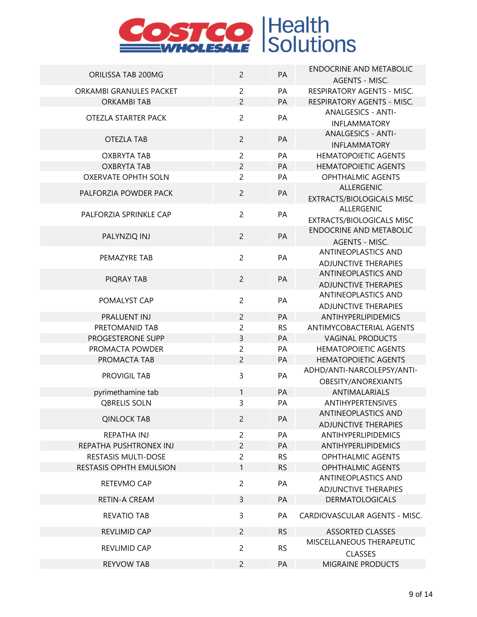| ORILISSA TAB 200MG             | $\overline{2}$ | PA        | <b>ENDOCRINE AND METABOLIC</b>              |
|--------------------------------|----------------|-----------|---------------------------------------------|
|                                |                |           | <b>AGENTS - MISC.</b>                       |
| ORKAMBI GRANULES PACKET        | $\overline{c}$ | PA        | RESPIRATORY AGENTS - MISC.                  |
| <b>ORKAMBI TAB</b>             | $\overline{2}$ | PA        | RESPIRATORY AGENTS - MISC.                  |
| OTEZLA STARTER PACK            | $\overline{2}$ | PA        | <b>ANALGESICS - ANTI-</b>                   |
|                                |                |           | <b>INFLAMMATORY</b>                         |
| <b>OTEZLA TAB</b>              | $\overline{c}$ | PA        | <b>ANALGESICS - ANTI-</b>                   |
|                                |                |           | <b>INFLAMMATORY</b>                         |
| <b>OXBRYTA TAB</b>             | $\overline{c}$ | PA        | <b>HEMATOPOIETIC AGENTS</b>                 |
| <b>OXBRYTA TAB</b>             | $\overline{c}$ | PA        | <b>HEMATOPOIETIC AGENTS</b>                 |
| <b>OXERVATE OPHTH SOLN</b>     | $\overline{c}$ | PA        | <b>OPHTHALMIC AGENTS</b>                    |
| PALFORZIA POWDER PACK          | $\overline{c}$ | PA        | ALLERGENIC                                  |
|                                |                |           | <b>EXTRACTS/BIOLOGICALS MISC</b>            |
| PALFORZIA SPRINKLE CAP         | $\overline{c}$ | PA        | ALLERGENIC                                  |
|                                |                |           | EXTRACTS/BIOLOGICALS MISC                   |
| PALYNZIQ INJ                   | $\overline{2}$ | PA        | <b>ENDOCRINE AND METABOLIC</b>              |
|                                |                |           | AGENTS - MISC.                              |
| PEMAZYRE TAB                   | $\overline{c}$ | PA        | ANTINEOPLASTICS AND                         |
|                                |                |           | <b>ADJUNCTIVE THERAPIES</b>                 |
| PIQRAY TAB                     | $\overline{c}$ | PA        | <b>ANTINEOPLASTICS AND</b>                  |
|                                |                |           | <b>ADJUNCTIVE THERAPIES</b>                 |
| POMALYST CAP                   | $\overline{c}$ | PA        | ANTINEOPLASTICS AND                         |
|                                |                |           | <b>ADJUNCTIVE THERAPIES</b>                 |
| PRALUENT INJ                   | $\overline{2}$ | PA        | ANTIHYPERLIPIDEMICS                         |
| PRETOMANID TAB                 | $\overline{c}$ | <b>RS</b> | ANTIMYCOBACTERIAL AGENTS                    |
| PROGESTERONE SUPP              | 3              | PA        | <b>VAGINAL PRODUCTS</b>                     |
| PROMACTA POWDER                | $\overline{c}$ | PA        | <b>HEMATOPOIETIC AGENTS</b>                 |
| PROMACTA TAB                   | $\overline{2}$ | PA        | <b>HEMATOPOIETIC AGENTS</b>                 |
| PROVIGIL TAB                   | 3              | PA        | ADHD/ANTI-NARCOLEPSY/ANTI-                  |
|                                |                |           | OBESITY/ANOREXIANTS                         |
| pyrimethamine tab              | 1              | PA        | ANTIMALARIALS                               |
| <b>QBRELIS SOLN</b>            | 3              | PA        | ANTIHYPERTENSIVES                           |
| <b>QINLOCK TAB</b>             | $\overline{2}$ | PA        | <b>ANTINEOPLASTICS AND</b>                  |
|                                |                |           | <b>ADJUNCTIVE THERAPIES</b>                 |
| <b>REPATHA INJ</b>             | $\overline{c}$ | PA        | <b>ANTIHYPERLIPIDEMICS</b>                  |
| REPATHA PUSHTRONEX INJ         | $\overline{c}$ | PA        | <b>ANTIHYPERLIPIDEMICS</b>                  |
| <b>RESTASIS MULTI-DOSE</b>     | $\overline{c}$ | <b>RS</b> | <b>OPHTHALMIC AGENTS</b>                    |
| <b>RESTASIS OPHTH EMULSION</b> | 1              | <b>RS</b> | <b>OPHTHALMIC AGENTS</b>                    |
| RETEVMO CAP                    | $\overline{c}$ | PA        | <b>ANTINEOPLASTICS AND</b>                  |
|                                |                |           | <b>ADJUNCTIVE THERAPIES</b>                 |
| <b>RETIN-A CREAM</b>           | 3              | PA        | <b>DERMATOLOGICALS</b>                      |
| <b>REVATIO TAB</b>             | 3              | PA        | CARDIOVASCULAR AGENTS - MISC.               |
| REVLIMID CAP                   | $\overline{2}$ | <b>RS</b> | <b>ASSORTED CLASSES</b>                     |
| <b>REVLIMID CAP</b>            | $\overline{c}$ | <b>RS</b> | MISCELLANEOUS THERAPEUTIC<br><b>CLASSES</b> |
| <b>REYVOW TAB</b>              | $\overline{c}$ | PA        | <b>MIGRAINE PRODUCTS</b>                    |
|                                |                |           |                                             |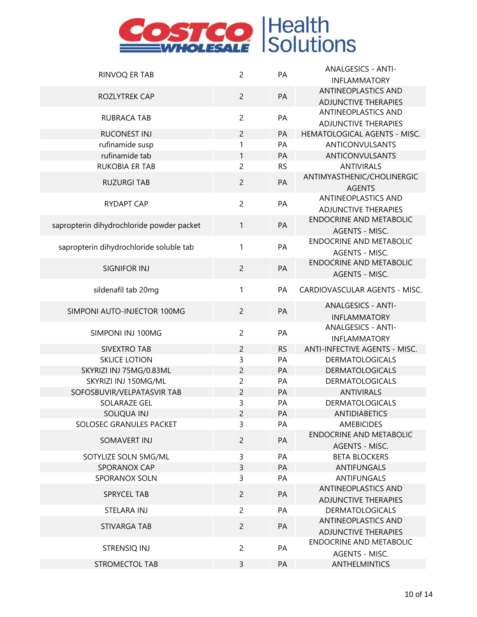| RINVOQ ER TAB                             | $\overline{c}$ | PA        | <b>ANALGESICS - ANTI-</b>      |
|-------------------------------------------|----------------|-----------|--------------------------------|
|                                           |                |           | <b>INFLAMMATORY</b>            |
|                                           |                |           | <b>ANTINEOPLASTICS AND</b>     |
| ROZLYTREK CAP                             | $\overline{c}$ | PA        | <b>ADJUNCTIVE THERAPIES</b>    |
|                                           |                |           | ANTINEOPLASTICS AND            |
| <b>RUBRACA TAB</b>                        | $\overline{c}$ | PA        | <b>ADJUNCTIVE THERAPIES</b>    |
| <b>RUCONEST INJ</b>                       | $\overline{c}$ | PA        | HEMATOLOGICAL AGENTS - MISC.   |
| rufinamide susp                           | 1              | PA        | ANTICONVULSANTS                |
| rufinamide tab                            | $\mathbf{1}$   | PA        | ANTICONVULSANTS                |
| <b>RUKOBIA ER TAB</b>                     | $\overline{c}$ | <b>RS</b> | <b>ANTIVIRALS</b>              |
|                                           |                |           | ANTIMYASTHENIC/CHOLINERGIC     |
| <b>RUZURGI TAB</b>                        | $\overline{c}$ | PA        | <b>AGENTS</b>                  |
|                                           |                |           | ANTINEOPLASTICS AND            |
| <b>RYDAPT CAP</b>                         | $\overline{c}$ | PA        | <b>ADJUNCTIVE THERAPIES</b>    |
|                                           |                |           | <b>ENDOCRINE AND METABOLIC</b> |
| sapropterin dihydrochloride powder packet | 1              | PA        | <b>AGENTS - MISC.</b>          |
|                                           |                |           | <b>ENDOCRINE AND METABOLIC</b> |
| sapropterin dihydrochloride soluble tab   | $\mathbf{1}$   | PA        | <b>AGENTS - MISC.</b>          |
|                                           |                |           | <b>ENDOCRINE AND METABOLIC</b> |
| SIGNIFOR INJ                              | $\overline{c}$ | PA        | AGENTS - MISC.                 |
|                                           |                |           |                                |
| sildenafil tab 20mg                       | 1              | PA        | CARDIOVASCULAR AGENTS - MISC.  |
| SIMPONI AUTO-INJECTOR 100MG               | $\overline{c}$ |           | <b>ANALGESICS - ANTI-</b>      |
|                                           |                | PA        | <b>INFLAMMATORY</b>            |
|                                           | $\overline{c}$ | PA        | <b>ANALGESICS - ANTI-</b>      |
| SIMPONI INJ 100MG                         |                |           | <b>INFLAMMATORY</b>            |
| <b>SIVEXTRO TAB</b>                       | $\overline{c}$ | <b>RS</b> | ANTI-INFECTIVE AGENTS - MISC.  |
| <b>SKLICE LOTION</b>                      | 3              | PA        | <b>DERMATOLOGICALS</b>         |
| SKYRIZI INJ 75MG/0.83ML                   | 2              | PA        | <b>DERMATOLOGICALS</b>         |
| SKYRIZI INJ 150MG/ML                      | 2              | PA        | <b>DERMATOLOGICALS</b>         |
| SOFOSBUVIR/VELPATASVIR TAB                | $\overline{c}$ | PA        | <b>ANTIVIRALS</b>              |
| SOLARAZE GEL                              | 3              | PA        | <b>DERMATOLOGICALS</b>         |
| SOLIOUA INJ                               | 2              | PA        | <b>ANTIDIABETICS</b>           |
| SOLOSEC GRANULES PACKET                   | 3              | PA        | <b>AMEBICIDES</b>              |
|                                           |                |           | ENDOCRINE AND METABOLIC        |
| SOMAVERT INJ                              | $\overline{c}$ | PA        | AGENTS - MISC.                 |
| SOTYLIZE SOLN 5MG/ML                      | 3              | PA        | <b>BETA BLOCKERS</b>           |
| SPORANOX CAP                              | 3              | PA        | <b>ANTIFUNGALS</b>             |
| SPORANOX SOLN                             | 3              | PA        | <b>ANTIFUNGALS</b>             |
|                                           |                |           | ANTINEOPLASTICS AND            |
| <b>SPRYCEL TAB</b>                        | $\overline{c}$ | PA        | <b>ADJUNCTIVE THERAPIES</b>    |
| STELARA INJ                               | $\overline{c}$ | PA        | <b>DERMATOLOGICALS</b>         |
|                                           |                |           | ANTINEOPLASTICS AND            |
| STIVARGA TAB                              | $\overline{2}$ | PA        | <b>ADJUNCTIVE THERAPIES</b>    |
|                                           | $\overline{c}$ | PA        | <b>ENDOCRINE AND METABOLIC</b> |
| STRENSIQ INJ                              |                |           | AGENTS - MISC.                 |
| <b>STROMECTOL TAB</b>                     | 3              | PA        | ANTHELMINTICS                  |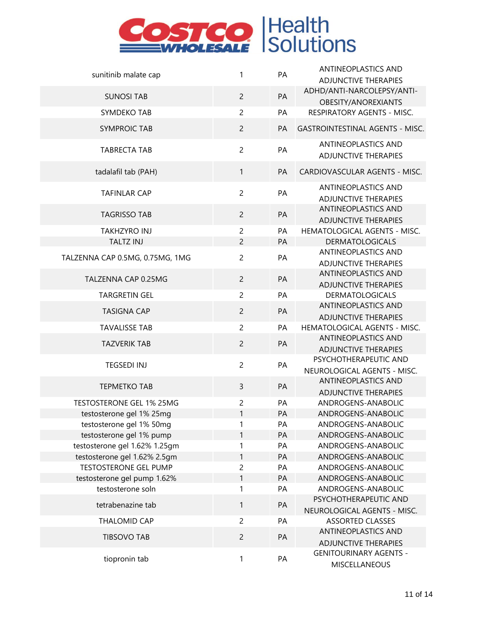| sunitinib malate cap            | $\mathbf{1}$   | PA        | <b>ANTINEOPLASTICS AND</b><br><b>ADJUNCTIVE THERAPIES</b> |
|---------------------------------|----------------|-----------|-----------------------------------------------------------|
| <b>SUNOSI TAB</b>               | $\overline{c}$ | PA        | ADHD/ANTI-NARCOLEPSY/ANTI-<br>OBESITY/ANOREXIANTS         |
| SYMDEKO TAB                     | $\overline{c}$ | PA        | RESPIRATORY AGENTS - MISC.                                |
|                                 |                |           |                                                           |
| <b>SYMPROIC TAB</b>             | $\overline{c}$ | PA        | <b>GASTROINTESTINAL AGENTS - MISC.</b>                    |
| <b>TABRECTA TAB</b>             | $\overline{c}$ | PA        | ANTINEOPLASTICS AND<br><b>ADJUNCTIVE THERAPIES</b>        |
| tadalafil tab (PAH)             | $\mathbf{1}$   | PA        | CARDIOVASCULAR AGENTS - MISC.                             |
| <b>TAFINLAR CAP</b>             | $\overline{c}$ | PA        | ANTINEOPLASTICS AND<br><b>ADJUNCTIVE THERAPIES</b>        |
| <b>TAGRISSO TAB</b>             | $\overline{c}$ | PA        | ANTINEOPLASTICS AND<br><b>ADJUNCTIVE THERAPIES</b>        |
| <b>TAKHZYRO INJ</b>             | 2              | PA        | HEMATOLOGICAL AGENTS - MISC.                              |
| <b>TALTZ INJ</b>                | $\overline{c}$ | PA        | <b>DERMATOLOGICALS</b>                                    |
| TALZENNA CAP 0.5MG, 0.75MG, 1MG | $\overline{c}$ | PA        | ANTINEOPLASTICS AND<br><b>ADJUNCTIVE THERAPIES</b>        |
| TALZENNA CAP 0.25MG             | $\overline{2}$ | PA        | ANTINEOPLASTICS AND<br><b>ADJUNCTIVE THERAPIES</b>        |
| <b>TARGRETIN GEL</b>            | $\overline{c}$ | PA        | <b>DERMATOLOGICALS</b>                                    |
| <b>TASIGNA CAP</b>              | $\overline{c}$ | PA        | ANTINEOPLASTICS AND                                       |
|                                 |                |           | <b>ADJUNCTIVE THERAPIES</b>                               |
| <b>TAVALISSE TAB</b>            | $\overline{c}$ | PA        | HEMATOLOGICAL AGENTS - MISC.                              |
| <b>TAZVERIK TAB</b>             | $\overline{c}$ | PA        | ANTINEOPLASTICS AND                                       |
|                                 |                |           | <b>ADJUNCTIVE THERAPIES</b><br>PSYCHOTHERAPEUTIC AND      |
| <b>TEGSEDI INJ</b>              | $\overline{c}$ | PA        | NEUROLOGICAL AGENTS - MISC.                               |
|                                 |                |           | ANTINEOPLASTICS AND                                       |
| <b>TEPMETKO TAB</b>             | 3              | PA        | <b>ADJUNCTIVE THERAPIES</b>                               |
| <b>TESTOSTERONE GEL 1% 25MG</b> | $\overline{c}$ | PA        | ANDROGENS-ANABOLIC                                        |
| testosterone gel 1% 25mg        | $\mathbf{1}$   | <b>PA</b> | ANDROGENS-ANABOLIC                                        |
| testosterone gel 1% 50mg        | 1              | PA        | ANDROGENS-ANABOLIC                                        |
| testosterone gel 1% pump        | 1              | PA        | ANDROGENS-ANABOLIC                                        |
| testosterone gel 1.62% 1.25gm   | 1              | PA        | ANDROGENS-ANABOLIC                                        |
| testosterone gel 1.62% 2.5gm    | 1              | PA        | ANDROGENS-ANABOLIC                                        |
| <b>TESTOSTERONE GEL PUMP</b>    | 2              | PA        | ANDROGENS-ANABOLIC                                        |
| testosterone gel pump 1.62%     | 1              | PA        | ANDROGENS-ANABOLIC                                        |
| testosterone soln               | 1              | PA        | ANDROGENS-ANABOLIC                                        |
| tetrabenazine tab               | $\mathbf{1}$   | PA        | PSYCHOTHERAPEUTIC AND                                     |
|                                 |                |           | NEUROLOGICAL AGENTS - MISC.                               |
| <b>THALOMID CAP</b>             | $\overline{c}$ | PA        | <b>ASSORTED CLASSES</b><br>ANTINEOPLASTICS AND            |
| <b>TIBSOVO TAB</b>              | $\overline{c}$ | PA        | <b>ADJUNCTIVE THERAPIES</b>                               |
|                                 |                |           | <b>GENITOURINARY AGENTS -</b>                             |
| tiopronin tab                   | 1              | PA        | MISCELLANEOUS                                             |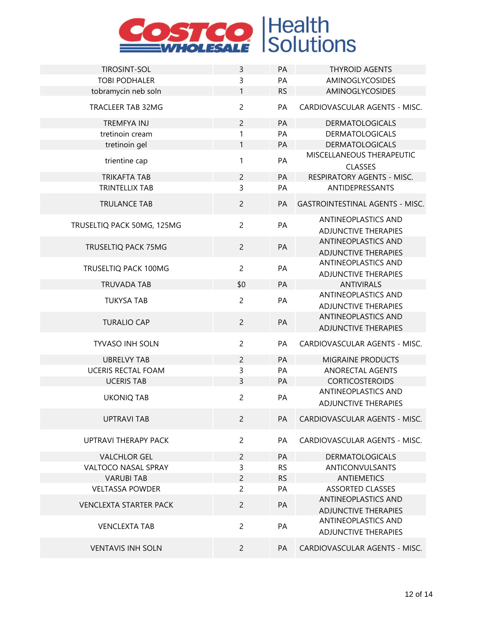

| <b>TIROSINT-SOL</b>           | $\mathsf{3}$   | PA        | <b>THYROID AGENTS</b>                                     |
|-------------------------------|----------------|-----------|-----------------------------------------------------------|
| <b>TOBI PODHALER</b>          | 3              | PA        | AMINOGLYCOSIDES                                           |
| tobramycin neb soln           | $\mathbf{1}$   | <b>RS</b> | AMINOGLYCOSIDES                                           |
| TRACLEER TAB 32MG             | $\overline{2}$ | PA        | CARDIOVASCULAR AGENTS - MISC.                             |
| <b>TREMFYA INJ</b>            | $\overline{c}$ | PA        | <b>DERMATOLOGICALS</b>                                    |
| tretinoin cream               | 1              | PA        | <b>DERMATOLOGICALS</b>                                    |
| tretinoin gel                 | $\mathbf{1}$   | PA        | <b>DERMATOLOGICALS</b>                                    |
| trientine cap                 | 1              | PA        | MISCELLANEOUS THERAPEUTIC<br>CLASSES                      |
| <b>TRIKAFTA TAB</b>           | $\overline{c}$ | PA        | <b>RESPIRATORY AGENTS - MISC.</b>                         |
| <b>TRINTELLIX TAB</b>         | 3              | PA        | ANTIDEPRESSANTS                                           |
| <b>TRULANCE TAB</b>           | $\overline{c}$ | PA        | <b>GASTROINTESTINAL AGENTS - MISC.</b>                    |
| TRUSELTIQ PACK 50MG, 125MG    | $\overline{c}$ | PA        | <b>ANTINEOPLASTICS AND</b><br><b>ADJUNCTIVE THERAPIES</b> |
| TRUSELTIQ PACK 75MG           | $\overline{2}$ | PA        | ANTINEOPLASTICS AND<br><b>ADJUNCTIVE THERAPIES</b>        |
| TRUSELTIQ PACK 100MG          | $\overline{2}$ | PA        | ANTINEOPLASTICS AND<br><b>ADJUNCTIVE THERAPIES</b>        |
| <b>TRUVADA TAB</b>            | \$0            | PA        | <b>ANTIVIRALS</b>                                         |
| <b>TUKYSA TAB</b>             | $\overline{c}$ | PA        | ANTINEOPLASTICS AND                                       |
|                               |                |           | <b>ADJUNCTIVE THERAPIES</b>                               |
| <b>TURALIO CAP</b>            | $\overline{c}$ | PA        | ANTINEOPLASTICS AND                                       |
|                               |                |           | <b>ADJUNCTIVE THERAPIES</b>                               |
| <b>TYVASO INH SOLN</b>        | $\overline{c}$ | PA        | CARDIOVASCULAR AGENTS - MISC.                             |
| <b>UBRELVY TAB</b>            | $\overline{c}$ | PA        | <b>MIGRAINE PRODUCTS</b>                                  |
| <b>UCERIS RECTAL FOAM</b>     | 3              | PA        | ANORECTAL AGENTS                                          |
| <b>UCERIS TAB</b>             | 3              | PA        | <b>CORTICOSTEROIDS</b>                                    |
| <b>UKONIQ TAB</b>             | $\overline{c}$ | PA        | <b>ANTINEOPLASTICS AND</b>                                |
|                               |                |           | <b>ADJUNCTIVE THERAPIES</b>                               |
| <b>UPTRAVI TAB</b>            | $\overline{2}$ | PA        | CARDIOVASCULAR AGENTS - MISC.                             |
| UPTRAVI THERAPY PACK          | $\overline{c}$ | PA        | CARDIOVASCULAR AGENTS - MISC.                             |
| <b>VALCHLOR GEL</b>           | $\overline{c}$ | PA        | <b>DERMATOLOGICALS</b>                                    |
| <b>VALTOCO NASAL SPRAY</b>    | 3              | <b>RS</b> | ANTICONVULSANTS                                           |
| <b>VARUBI TAB</b>             | $\overline{c}$ | <b>RS</b> | <b>ANTIEMETICS</b>                                        |
| <b>VELTASSA POWDER</b>        | 2              | PA        | <b>ASSORTED CLASSES</b>                                   |
| <b>VENCLEXTA STARTER PACK</b> | $\overline{2}$ | PA        | <b>ANTINEOPLASTICS AND</b><br><b>ADJUNCTIVE THERAPIES</b> |
| <b>VENCLEXTA TAB</b>          | $\overline{c}$ | PA        | <b>ANTINEOPLASTICS AND</b><br><b>ADJUNCTIVE THERAPIES</b> |
| <b>VENTAVIS INH SOLN</b>      | $\overline{c}$ | <b>PA</b> | CARDIOVASCULAR AGENTS - MISC.                             |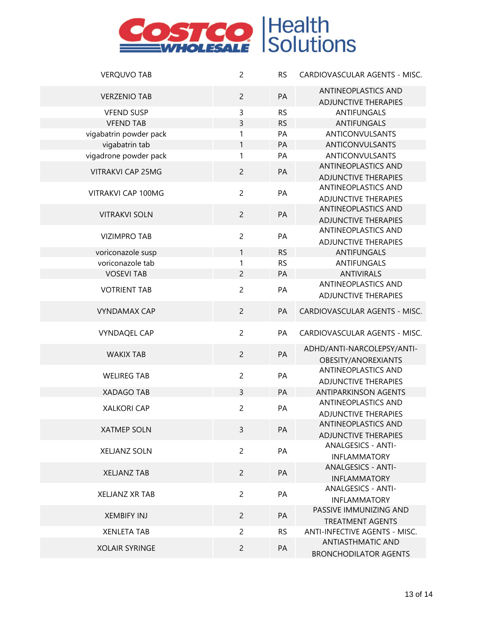| <b>VERQUVO TAB</b>       | $\overline{c}$ | <b>RS</b> | CARDIOVASCULAR AGENTS - MISC.                    |
|--------------------------|----------------|-----------|--------------------------------------------------|
| <b>VERZENIO TAB</b>      | $\overline{c}$ | PA        | <b>ANTINEOPLASTICS AND</b>                       |
|                          |                |           | <b>ADJUNCTIVE THERAPIES</b>                      |
| <b>VFEND SUSP</b>        | 3              | <b>RS</b> | ANTIFUNGALS                                      |
| <b>VFEND TAB</b>         | 3              | <b>RS</b> | <b>ANTIFUNGALS</b>                               |
| vigabatrin powder pack   | 1              | PA        | ANTICONVULSANTS                                  |
| vigabatrin tab           | $\mathbf{1}$   | PA        | ANTICONVULSANTS                                  |
| vigadrone powder pack    | 1              | PA        | ANTICONVULSANTS                                  |
| <b>VITRAKVI CAP 25MG</b> | $\overline{c}$ |           | <b>ANTINEOPLASTICS AND</b>                       |
|                          |                | PA        | <b>ADJUNCTIVE THERAPIES</b>                      |
|                          |                |           | ANTINEOPLASTICS AND                              |
| VITRAKVI CAP 100MG       | $\overline{c}$ | PA        | <b>ADJUNCTIVE THERAPIES</b>                      |
|                          |                |           | <b>ANTINEOPLASTICS AND</b>                       |
| <b>VITRAKVI SOLN</b>     | $\overline{c}$ | PA        | <b>ADJUNCTIVE THERAPIES</b>                      |
|                          |                |           | ANTINEOPLASTICS AND                              |
| <b>VIZIMPRO TAB</b>      | $\overline{c}$ | PA        | <b>ADJUNCTIVE THERAPIES</b>                      |
| voriconazole susp        | $\mathbf{1}$   | <b>RS</b> | ANTIFUNGALS                                      |
| voriconazole tab         | 1              | <b>RS</b> | ANTIFUNGALS                                      |
| <b>VOSEVI TAB</b>        | $\overline{c}$ | PA        | <b>ANTIVIRALS</b>                                |
|                          |                |           | ANTINEOPLASTICS AND                              |
| <b>VOTRIENT TAB</b>      | $\overline{c}$ | PA        | <b>ADJUNCTIVE THERAPIES</b>                      |
|                          |                |           |                                                  |
| <b>VYNDAMAX CAP</b>      | $\overline{c}$ | PA        | CARDIOVASCULAR AGENTS - MISC.                    |
| <b>VYNDAQEL CAP</b>      | $\overline{c}$ | PA        | CARDIOVASCULAR AGENTS - MISC.                    |
|                          |                |           | ADHD/ANTI-NARCOLEPSY/ANTI-                       |
| <b>WAKIX TAB</b>         | $\overline{2}$ | PA        |                                                  |
|                          |                |           | OBESITY/ANOREXIANTS<br>ANTINEOPLASTICS AND       |
| <b>WELIREG TAB</b>       | $\overline{c}$ | PA        | <b>ADJUNCTIVE THERAPIES</b>                      |
| <b>XADAGO TAB</b>        | $\overline{3}$ | PA        | <b>ANTIPARKINSON AGENTS</b>                      |
|                          |                |           | ANTINEOPLASTICS AND                              |
| <b>XALKORI CAP</b>       | $\overline{2}$ | PA        | <b>ADJUNCTIVE THERAPIES</b>                      |
|                          |                |           | <b>ANTINEOPLASTICS AND</b>                       |
| <b>XATMEP SOLN</b>       | $\overline{3}$ | PA        | <b>ADJUNCTIVE THERAPIES</b>                      |
|                          |                |           | <b>ANALGESICS - ANTI-</b>                        |
| <b>XELJANZ SOLN</b>      | $\overline{c}$ | PA        | <b>INFLAMMATORY</b>                              |
|                          |                |           | <b>ANALGESICS - ANTI-</b>                        |
| <b>XELJANZ TAB</b>       | $\overline{2}$ | <b>PA</b> |                                                  |
|                          |                |           | <b>INFLAMMATORY</b><br><b>ANALGESICS - ANTI-</b> |
| <b>XELJANZ XR TAB</b>    | $\overline{c}$ | PA        |                                                  |
|                          |                |           | <b>INFLAMMATORY</b>                              |
| <b>XEMBIFY INJ</b>       | $\overline{2}$ | PA        | PASSIVE IMMUNIZING AND                           |
|                          |                |           | <b>TREATMENT AGENTS</b>                          |
| <b>XENLETA TAB</b>       | $\overline{2}$ | <b>RS</b> | <b>ANTI-INFECTIVE AGENTS - MISC.</b>             |
| <b>XOLAIR SYRINGE</b>    | $\overline{2}$ | PA        | <b>ANTIASTHMATIC AND</b>                         |
|                          |                |           | <b>BRONCHODILATOR AGENTS</b>                     |